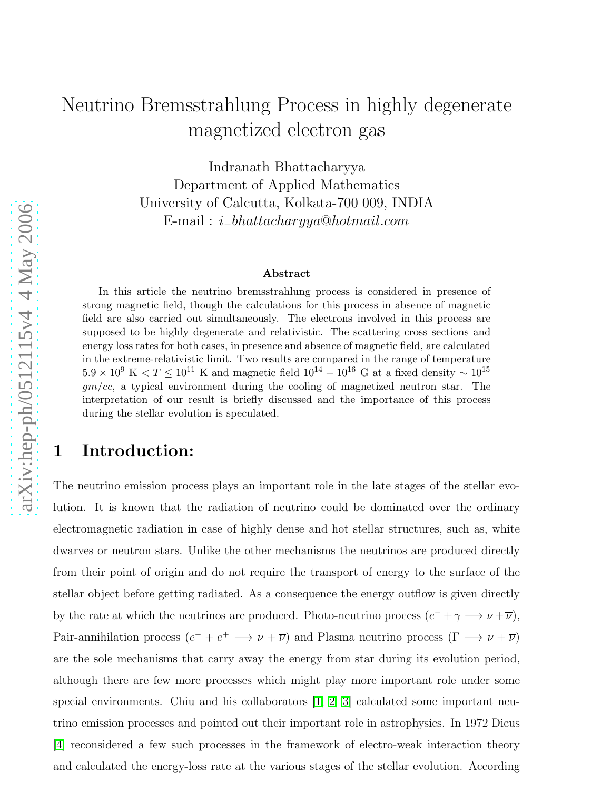# Neutrino Bremsstrahlung Process in highly degenerate magnetized electron gas

Indranath Bhattacharyya Department of Applied Mathematics University of Calcutta, Kolkata-700 009, INDIA  $\text{E-mail}: i\_bhattacharyya@hotmail.com$ 

#### Abstract

In this article the neutrino bremsstrahlung process is considered in presence of strong magnetic field, though the calculations for this process in absence of magnetic field are also carried out simultaneously. The electrons involved in this process are supposed to be highly degenerate and relativistic. The scattering cross sections and energy loss rates for both cases, in presence and absence of magnetic field, are calculated in the extreme-relativistic limit. Two results are compared in the range of temperature  $5.9 \times 10^9$  K  $\lt T \leq 10^{11}$  K and magnetic field  $10^{14} - 10^{16}$  G at a fixed density  $\sim 10^{15}$  $qm/cc$ , a typical environment during the cooling of magnetized neutron star. The interpretation of our result is briefly discussed and the importance of this process during the stellar evolution is speculated.

## 1 Introduction:

The neutrino emission process plays an important role in the late stages of the stellar evolution. It is known that the radiation of neutrino could be dominated over the ordinary electromagnetic radiation in case of highly dense and hot stellar structures, such as, white dwarves or neutron stars. Unlike the other mechanisms the neutrinos are produced directly from their point of origin and do not require the transport of energy to the surface of the stellar object before getting radiated. As a consequence the energy outflow is given directly by the rate at which the neutrinos are produced. Photo-neutrino process  $(e^- + \gamma \longrightarrow \nu + \overline{\nu}),$ Pair-annihilation process  $(e^- + e^+ \longrightarrow \nu + \overline{\nu})$  and Plasma neutrino process  $(\Gamma \longrightarrow \nu + \overline{\nu})$ are the sole mechanisms that carry away the energy from star during its evolution period, although there are few more processes which might play more important role under some special environments. Chiu and his collaborators [\[1,](#page-9-0) [2,](#page-9-1) [3\]](#page-9-2) calculated some important neutrino emission processes and pointed out their important role in astrophysics. In 1972 Dicus [\[4\]](#page-9-3) reconsidered a few such processes in the framework of electro-weak interaction theory and calculated the energy-loss rate at the various stages of the stellar evolution. According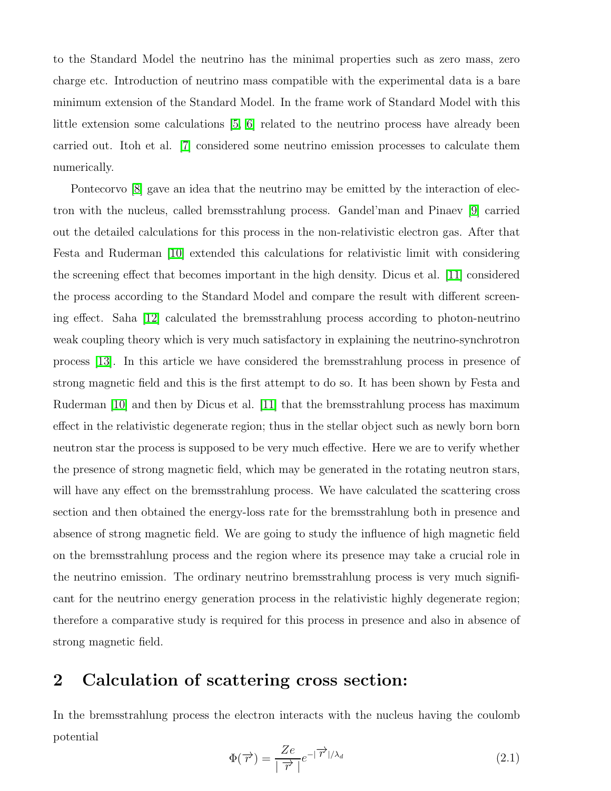to the Standard Model the neutrino has the minimal properties such as zero mass, zero charge etc. Introduction of neutrino mass compatible with the experimental data is a bare minimum extension of the Standard Model. In the frame work of Standard Model with this little extension some calculations [\[5,](#page-9-4) [6\]](#page-9-5) related to the neutrino process have already been carried out. Itoh et al. [\[7\]](#page-9-6) considered some neutrino emission processes to calculate them numerically.

Pontecorvo  $\vert 8 \vert$  gave an idea that the neutrino may be emitted by the interaction of electron with the nucleus, called bremsstrahlung process. Gandel'man and Pinaev [\[9\]](#page-10-1) carried out the detailed calculations for this process in the non-relativistic electron gas. After that Festa and Ruderman [\[10\]](#page-10-2) extended this calculations for relativistic limit with considering the screening effect that becomes important in the high density. Dicus et al. [\[11\]](#page-10-3) considered the process according to the Standard Model and compare the result with different screening effect. Saha [\[12\]](#page-10-4) calculated the bremsstrahlung process according to photon-neutrino weak coupling theory which is very much satisfactory in explaining the neutrino-synchrotron process [\[13\]](#page-10-5). In this article we have considered the bremsstrahlung process in presence of strong magnetic field and this is the first attempt to do so. It has been shown by Festa and Ruderman [\[10\]](#page-10-2) and then by Dicus et al. [\[11\]](#page-10-3) that the bremsstrahlung process has maximum effect in the relativistic degenerate region; thus in the stellar object such as newly born born neutron star the process is supposed to be very much effective. Here we are to verify whether the presence of strong magnetic field, which may be generated in the rotating neutron stars, will have any effect on the bremsstrahlung process. We have calculated the scattering cross section and then obtained the energy-loss rate for the bremsstrahlung both in presence and absence of strong magnetic field. We are going to study the influence of high magnetic field on the bremsstrahlung process and the region where its presence may take a crucial role in the neutrino emission. The ordinary neutrino bremsstrahlung process is very much significant for the neutrino energy generation process in the relativistic highly degenerate region; therefore a comparative study is required for this process in presence and also in absence of strong magnetic field.

## 2 Calculation of scattering cross section:

In the bremsstrahlung process the electron interacts with the nucleus having the coulomb potential

$$
\Phi(\overrightarrow{r}) = \frac{Ze}{|\overrightarrow{r}|}e^{-|\overrightarrow{r}|/\lambda_d} \tag{2.1}
$$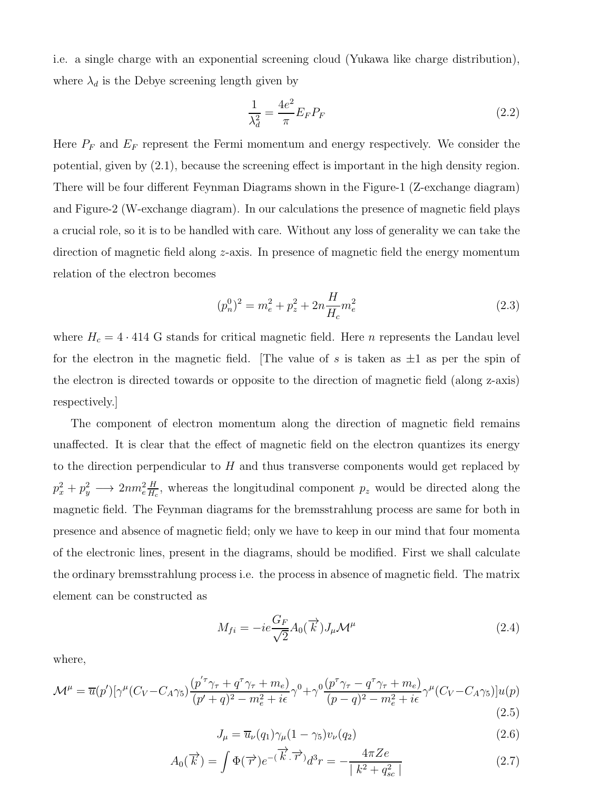i.e. a single charge with an exponential screening cloud (Yukawa like charge distribution), where  $\lambda_d$  is the Debye screening length given by

$$
\frac{1}{\lambda_d^2} = \frac{4e^2}{\pi} E_F P_F \tag{2.2}
$$

Here  $P_F$  and  $E_F$  represent the Fermi momentum and energy respectively. We consider the potential, given by (2.1), because the screening effect is important in the high density region. There will be four different Feynman Diagrams shown in the Figure-1 (Z-exchange diagram) and Figure-2 (W-exchange diagram). In our calculations the presence of magnetic field plays a crucial role, so it is to be handled with care. Without any loss of generality we can take the direction of magnetic field along z-axis. In presence of magnetic field the energy momentum relation of the electron becomes

$$
(p_n^0)^2 = m_e^2 + p_z^2 + 2n \frac{H}{H_c} m_e^2
$$
\n(2.3)

where  $H_c = 4 \cdot 414$  G stands for critical magnetic field. Here *n* represents the Landau level for the electron in the magnetic field. The value of s is taken as  $\pm 1$  as per the spin of the electron is directed towards or opposite to the direction of magnetic field (along z-axis) respectively.]

The component of electron momentum along the direction of magnetic field remains unaffected. It is clear that the effect of magnetic field on the electron quantizes its energy to the direction perpendicular to  $H$  and thus transverse components would get replaced by  $p_x^2 + p_y^2 \longrightarrow 2nm_e^2 \frac{H}{H_e}$  $\frac{H}{H_c}$ , whereas the longitudinal component  $p_z$  would be directed along the magnetic field. The Feynman diagrams for the bremsstrahlung process are same for both in presence and absence of magnetic field; only we have to keep in our mind that four momenta of the electronic lines, present in the diagrams, should be modified. First we shall calculate the ordinary bremsstrahlung process i.e. the process in absence of magnetic field. The matrix element can be constructed as

$$
M_{fi} = -ie\frac{G_F}{\sqrt{2}}A_0(\vec{k})J_\mu\mathcal{M}^\mu
$$
\n(2.4)

where,

$$
\mathcal{M}^{\mu} = \overline{u}(p')[\gamma^{\mu}(C_V - C_A \gamma_5) \frac{(p'\tau_{\gamma\tau} + q^\tau \gamma_\tau + m_e)}{(p' + q)^2 - m_e^2 + i\epsilon} \gamma^0 + \gamma^0 \frac{(p\tau_{\gamma\tau} - q^\tau \gamma_\tau + m_e)}{(p - q)^2 - m_e^2 + i\epsilon} \gamma^{\mu}(C_V - C_A \gamma_5)]u(p)
$$
\n(2.5)

$$
J_{\mu} = \overline{u}_{\nu}(q_1)\gamma_{\mu}(1-\gamma_5)v_{\nu}(q_2)
$$
\n(2.6)

$$
A_0(\overrightarrow{k}) = \int \Phi(\overrightarrow{r}) e^{-(\overrightarrow{k} \cdot \overrightarrow{r})} d^3r = -\frac{4\pi Ze}{|k^2 + q_{sc}^2|}
$$
 (2.7)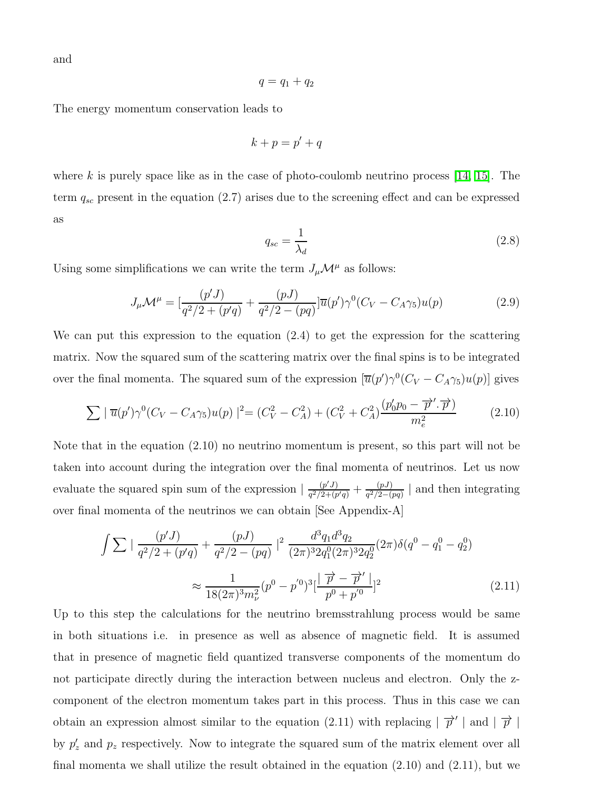and

$$
q=q_1+q_2
$$

The energy momentum conservation leads to

$$
k + p = p' + q
$$

where k is purely space like as in the case of photo-coulomb neutrino process  $[14, 15]$  $[14, 15]$ . The term  $q_{sc}$  present in the equation (2.7) arises due to the screening effect and can be expressed as

$$
q_{sc} = \frac{1}{\lambda_d} \tag{2.8}
$$

Using some simplifications we can write the term  $J_{\mu}\mathcal{M}^{\mu}$  as follows:

$$
J_{\mu}\mathcal{M}^{\mu} = \left[\frac{(p'J)}{q^2/2 + (p'q)} + \frac{(pJ)}{q^2/2 - (pq)}\right] \overline{u}(p')\gamma^0 (C_V - C_A \gamma_5)u(p) \tag{2.9}
$$

We can put this expression to the equation (2.4) to get the expression for the scattering matrix. Now the squared sum of the scattering matrix over the final spins is to be integrated over the final momenta. The squared sum of the expression  $[\overline{u}(p')\gamma^0(C_V - C_A\gamma_5)u(p)]$  gives

$$
\sum |\overline{u}(p')\gamma^{0}(C_{V} - C_{A}\gamma_{5})u(p)|^{2} = (C_{V}^{2} - C_{A}^{2}) + (C_{V}^{2} + C_{A}^{2})\frac{(p'_{0}p_{0} - \overrightarrow{p}', \overrightarrow{p})}{m_{e}^{2}}
$$
(2.10)

Note that in the equation (2.10) no neutrino momentum is present, so this part will not be taken into account during the integration over the final momenta of neutrinos. Let us now evaluate the squared spin sum of the expression  $\left| \frac{(p'J)}{q^2/2+(p)} \right|$  $\frac{(p'J)}{q^2/2+(p'q)}+\frac{(pJ)}{q^2/2-(q)}$  $\frac{(pJ)}{q^2/2-(pq)}$  and then integrating over final momenta of the neutrinos we can obtain [See Appendix-A]

$$
\int \sum \left| \frac{(p'J)}{q^2/2 + (p'q)} + \frac{(pJ)}{q^2/2 - (pq)} \right|^2 \frac{d^3q_1 d^3q_2}{(2\pi)^3 2q_1^0 (2\pi)^3 2q_2^0} (2\pi) \delta(q^0 - q_1^0 - q_2^0)
$$
  

$$
\approx \frac{1}{18(2\pi)^3 m_\nu^2} (p^0 - p'^0)^3 \left[ \frac{\overrightarrow{p} - \overrightarrow{p}'}{p^0 + p'^0} \right]^2
$$
(2.11)

Up to this step the calculations for the neutrino bremsstrahlung process would be same in both situations i.e. in presence as well as absence of magnetic field. It is assumed that in presence of magnetic field quantized transverse components of the momentum do not participate directly during the interaction between nucleus and electron. Only the zcomponent of the electron momentum takes part in this process. Thus in this case we can obtain an expression almost similar to the equation (2.11) with replacing  $|\vec{p}'|$  and  $|\vec{p}|$ by  $p'_z$  and  $p_z$  respectively. Now to integrate the squared sum of the matrix element over all final momenta we shall utilize the result obtained in the equation (2.10) and (2.11), but we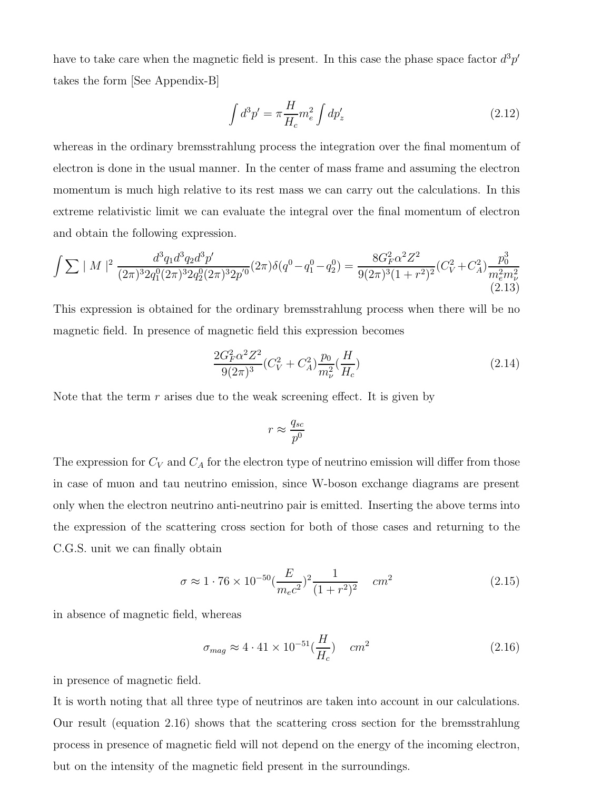have to take care when the magnetic field is present. In this case the phase space factor  $d^3p'$ takes the form [See Appendix-B]

$$
\int d^3 p' = \pi \frac{H}{H_c} m_e^2 \int dp'_z \tag{2.12}
$$

whereas in the ordinary bremsstrahlung process the integration over the final momentum of electron is done in the usual manner. In the center of mass frame and assuming the electron momentum is much high relative to its rest mass we can carry out the calculations. In this extreme relativistic limit we can evaluate the integral over the final momentum of electron and obtain the following expression.

$$
\int \sum |M|^2 \frac{d^3 q_1 d^3 q_2 d^3 p'}{(2\pi)^3 2q_1^0 (2\pi)^3 2q_2^0 (2\pi)^3 2p'^0} (2\pi) \delta(q^0 - q_1^0 - q_2^0) = \frac{8G_F^2 \alpha^2 Z^2}{9(2\pi)^3 (1+r^2)^2} (C_V^2 + C_A^2) \frac{p_0^3}{m_e^2 m_\nu^2} \tag{2.13}
$$

This expression is obtained for the ordinary bremsstrahlung process when there will be no magnetic field. In presence of magnetic field this expression becomes

$$
\frac{2G_F^2 \alpha^2 Z^2}{9(2\pi)^3} (C_V^2 + C_A^2) \frac{p_0}{m_\nu^2} (\frac{H}{H_c})
$$
\n(2.14)

Note that the term  $r$  arises due to the weak screening effect. It is given by

$$
r \approx \frac{q_{sc}}{p^0}
$$

The expression for  $C_V$  and  $C_A$  for the electron type of neutrino emission will differ from those in case of muon and tau neutrino emission, since W-boson exchange diagrams are present only when the electron neutrino anti-neutrino pair is emitted. Inserting the above terms into the expression of the scattering cross section for both of those cases and returning to the C.G.S. unit we can finally obtain

$$
\sigma \approx 1 \cdot 76 \times 10^{-50} \left(\frac{E}{m_e c^2}\right)^2 \frac{1}{(1+r^2)^2} \quad cm^2 \tag{2.15}
$$

in absence of magnetic field, whereas

$$
\sigma_{mag} \approx 4 \cdot 41 \times 10^{-51} \left(\frac{H}{H_c}\right) \quad cm^2 \tag{2.16}
$$

in presence of magnetic field.

It is worth noting that all three type of neutrinos are taken into account in our calculations. Our result (equation 2.16) shows that the scattering cross section for the bremsstrahlung process in presence of magnetic field will not depend on the energy of the incoming electron, but on the intensity of the magnetic field present in the surroundings.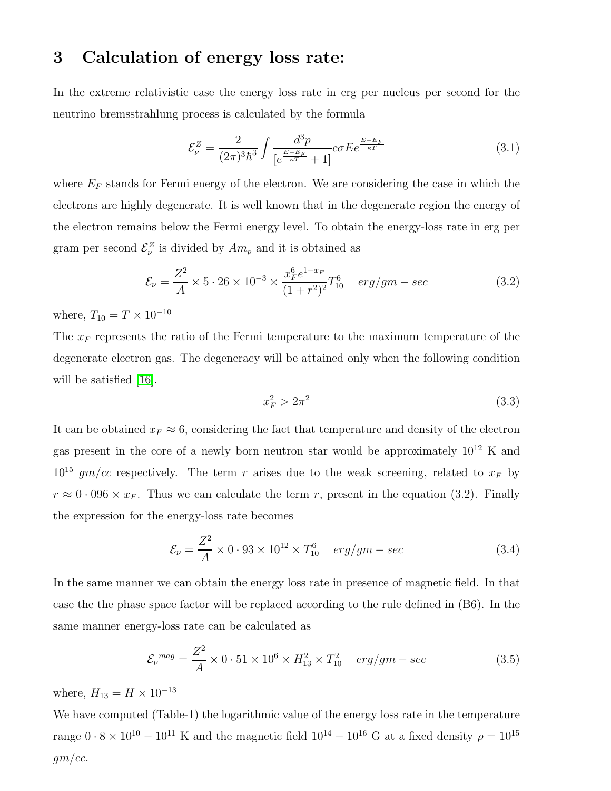# 3 Calculation of energy loss rate:

In the extreme relativistic case the energy loss rate in erg per nucleus per second for the neutrino bremsstrahlung process is calculated by the formula

$$
\mathcal{E}_{\nu}^{Z} = \frac{2}{(2\pi)^{3}\hbar^{3}} \int \frac{d^{3}p}{\left[e^{\frac{E-E_{F}}{\kappa T}} + 1\right]} c\sigma E e^{\frac{E-E_{F}}{\kappa T}}
$$
(3.1)

where  $E_F$  stands for Fermi energy of the electron. We are considering the case in which the electrons are highly degenerate. It is well known that in the degenerate region the energy of the electron remains below the Fermi energy level. To obtain the energy-loss rate in erg per gram per second  $\mathcal{E}^Z_\nu$  is divided by  $Am_p$  and it is obtained as

$$
\mathcal{E}_{\nu} = \frac{Z^2}{A} \times 5 \cdot 26 \times 10^{-3} \times \frac{x_F^6 e^{1-x_F}}{(1+r^2)^2} T_{10}^6 \quad erg/gm - sec \tag{3.2}
$$

where,  $T_{10}=T\times 10^{-10}$ 

The  $x_F$  represents the ratio of the Fermi temperature to the maximum temperature of the degenerate electron gas. The degeneracy will be attained only when the following condition will be satisfied [\[16\]](#page-10-8).

$$
x_F^2 > 2\pi^2 \tag{3.3}
$$

It can be obtained  $x_F \approx 6$ , considering the fact that temperature and density of the electron gas present in the core of a newly born neutron star would be approximately  $10^{12}$  K and  $10^{15}$  gm/cc respectively. The term r arises due to the weak screening, related to  $x_F$  by  $r \approx 0.096 \times x_F$ . Thus we can calculate the term r, present in the equation (3.2). Finally the expression for the energy-loss rate becomes

$$
\mathcal{E}_{\nu} = \frac{Z^2}{A} \times 0.93 \times 10^{12} \times T_{10}^6 \quad erg/gm - sec \tag{3.4}
$$

In the same manner we can obtain the energy loss rate in presence of magnetic field. In that case the the phase space factor will be replaced according to the rule defined in (B6). In the same manner energy-loss rate can be calculated as

$$
\mathcal{E}_{\nu}{}^{mag} = \frac{Z^2}{A} \times 0.51 \times 10^6 \times H_{13}^2 \times T_{10}^2 \quad erg/gm - sec \tag{3.5}
$$

where,  $H_{13} = H \times 10^{-13}$ 

We have computed (Table-1) the logarithmic value of the energy loss rate in the temperature range  $0 \cdot 8 \times 10^{10} - 10^{11}$  K and the magnetic field  $10^{14} - 10^{16}$  G at a fixed density  $\rho = 10^{15}$  $gm/cc.$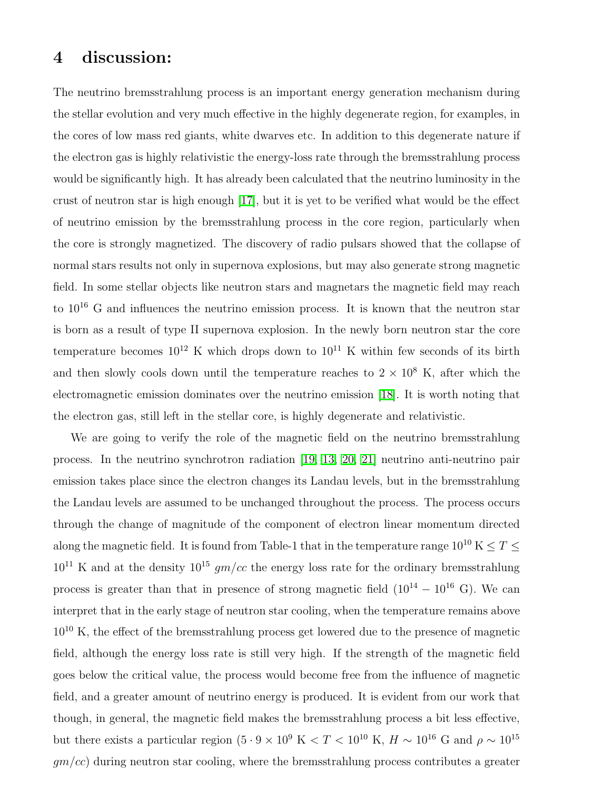## 4 discussion:

The neutrino bremsstrahlung process is an important energy generation mechanism during the stellar evolution and very much effective in the highly degenerate region, for examples, in the cores of low mass red giants, white dwarves etc. In addition to this degenerate nature if the electron gas is highly relativistic the energy-loss rate through the bremsstrahlung process would be significantly high. It has already been calculated that the neutrino luminosity in the crust of neutron star is high enough [\[17\]](#page-10-9), but it is yet to be verified what would be the effect of neutrino emission by the bremsstrahlung process in the core region, particularly when the core is strongly magnetized. The discovery of radio pulsars showed that the collapse of normal stars results not only in supernova explosions, but may also generate strong magnetic field. In some stellar objects like neutron stars and magnetars the magnetic field may reach to  $10^{16}$  G and influences the neutrino emission process. It is known that the neutron star is born as a result of type II supernova explosion. In the newly born neutron star the core temperature becomes  $10^{12}$  K which drops down to  $10^{11}$  K within few seconds of its birth and then slowly cools down until the temperature reaches to  $2 \times 10^8$  K, after which the electromagnetic emission dominates over the neutrino emission [\[18\]](#page-10-10). It is worth noting that the electron gas, still left in the stellar core, is highly degenerate and relativistic.

We are going to verify the role of the magnetic field on the neutrino bremsstrahlung process. In the neutrino synchrotron radiation [\[19,](#page-10-11) [13,](#page-10-5) [20,](#page-10-12) [21\]](#page-10-13) neutrino anti-neutrino pair emission takes place since the electron changes its Landau levels, but in the bremsstrahlung the Landau levels are assumed to be unchanged throughout the process. The process occurs through the change of magnitude of the component of electron linear momentum directed along the magnetic field. It is found from Table-1 that in the temperature range  $10^{10}$  K  $\leq T \leq$  $10^{11}$  K and at the density  $10^{15}$  gm/cc the energy loss rate for the ordinary bremsstrahlung process is greater than that in presence of strong magnetic field  $(10^{14} - 10^{16} \text{ G})$ . We can interpret that in the early stage of neutron star cooling, when the temperature remains above  $10^{10}$  K, the effect of the bremsstrahlung process get lowered due to the presence of magnetic field, although the energy loss rate is still very high. If the strength of the magnetic field goes below the critical value, the process would become free from the influence of magnetic field, and a greater amount of neutrino energy is produced. It is evident from our work that though, in general, the magnetic field makes the bremsstrahlung process a bit less effective, but there exists a particular region (5  $\cdot$  9  $\times$   $10^9$  K  $< T < 10^{10}$  K,  $H \sim 10^{16}$  G and  $\rho \sim 10^{15}$  $gm/cc)$  during neutron star cooling, where the bremsstrahlung process contributes a greater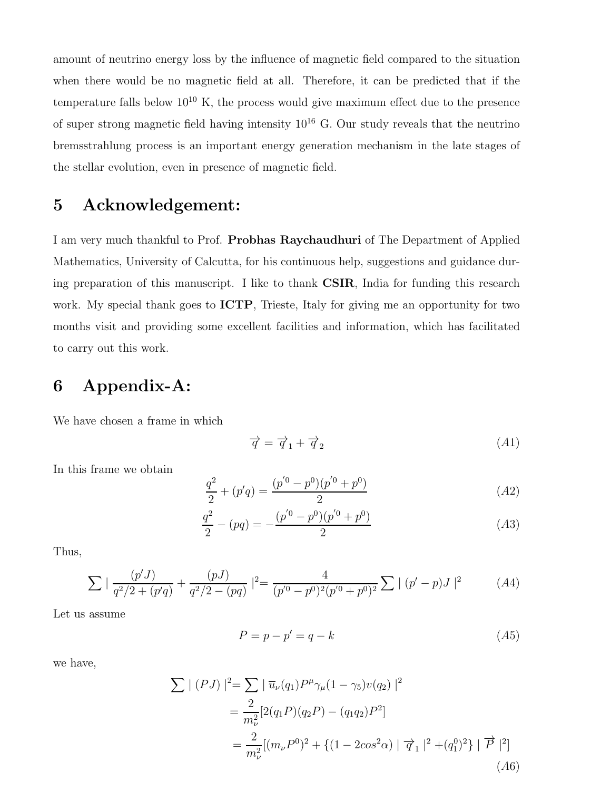amount of neutrino energy loss by the influence of magnetic field compared to the situation when there would be no magnetic field at all. Therefore, it can be predicted that if the temperature falls below  $10^{10}$  K, the process would give maximum effect due to the presence of super strong magnetic field having intensity  $10^{16}$  G. Our study reveals that the neutrino bremsstrahlung process is an important energy generation mechanism in the late stages of the stellar evolution, even in presence of magnetic field.

# 5 Acknowledgement:

I am very much thankful to Prof. Probhas Raychaudhuri of The Department of Applied Mathematics, University of Calcutta, for his continuous help, suggestions and guidance during preparation of this manuscript. I like to thank CSIR, India for funding this research work. My special thank goes to **ICTP**, Trieste, Italy for giving me an opportunity for two months visit and providing some excellent facilities and information, which has facilitated to carry out this work.

# 6 Appendix-A:

We have chosen a frame in which

$$
\overrightarrow{q} = \overrightarrow{q}_1 + \overrightarrow{q}_2 \tag{A1}
$$

In this frame we obtain

$$
\frac{q^2}{2} + (p'q) = \frac{(p'^0 - p^0)(p'^0 + p^0)}{2} \tag{A2}
$$

$$
\frac{q^2}{2} - (pq) = -\frac{(p'^0 - p^0)(p'^0 + p^0)}{2} \tag{A3}
$$

Thus,

$$
\sum \left| \frac{(p'J)}{q^2/2 + (p'q)} + \frac{(pJ)}{q^2/2 - (pq)} \right|^2 = \frac{4}{(p'^0 - p^0)^2 (p'^0 + p^0)^2} \sum |(p' - p)J|^2 \tag{A4}
$$

Let us assume

$$
P = p - p' = q - k \tag{A5}
$$

we have,

$$
\sum |(PJ)|^2 = \sum |\overline{u}_{\nu}(q_1)P^{\mu}\gamma_{\mu}(1-\gamma_5)v(q_2)|^2
$$
  
= 
$$
\frac{2}{m_{\nu}^2} [2(q_1P)(q_2P) - (q_1q_2)P^2]
$$
  
= 
$$
\frac{2}{m_{\nu}^2} [(m_{\nu}P^0)^2 + \{(1 - 2cos^2\alpha) | \overrightarrow{q}_1 |^2 + (q_1^0)^2 \} | \overrightarrow{P} |^2]
$$
  
(A6)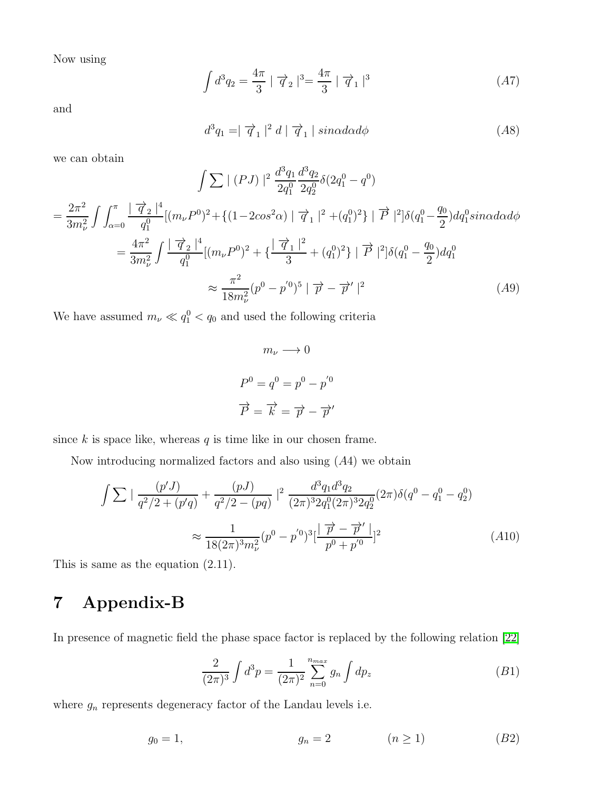Now using

$$
\int d^3q_2 = \frac{4\pi}{3} \mid \vec{q}_2 \mid^3 = \frac{4\pi}{3} \mid \vec{q}_1 \mid^3 \tag{A7}
$$

and

$$
d^3q_1 = |\vec{q}_1|^2 d |\vec{q}_1| \sin\alpha d\alpha d\phi \qquad (A8)
$$

we can obtain

$$
\int \sum |(PJ)|^2 \frac{d^3q_1}{2q_1^0} \frac{d^3q_2}{2q_2^0} \delta(2q_1^0 - q^0)
$$
  
= 
$$
\frac{2\pi^2}{3m_\nu^2} \int \int_{\alpha=0}^{\pi} \frac{|\vec{q}_2|^4}{q_1^0} [(m_\nu P^0)^2 + \{ (1 - 2\cos^2\alpha) | \vec{q}_1|^2 + (q_1^0)^2 \} | \vec{P} |^2] \delta(q_1^0 - \frac{q_0}{2}) dq_1^0 sin\alpha d\alpha d\phi
$$
  
= 
$$
\frac{4\pi^2}{3m_\nu^2} \int \frac{|\vec{q}_2|^4}{q_1^0} [(m_\nu P^0)^2 + {\{\frac{|\vec{q}_1|^2}{3} + (q_1^0)^2 \} | \vec{P} |^2} \delta(q_1^0 - \frac{q_0}{2}) dq_1^0
$$
  

$$
\approx \frac{\pi^2}{18m_\nu^2} (p^0 - p^{'0})^5 | \vec{p} - \vec{p}' |^2
$$
(A9)

We have assumed  $m_{\nu} \ll q_1^0 < q_0$  and used the following criteria

$$
m_{\nu} \longrightarrow 0
$$

$$
P^{0} = q^{0} = p^{0} - p^{'0}
$$

$$
\overrightarrow{P} = \overrightarrow{k} = \overrightarrow{p} - \overrightarrow{p}'
$$

since  $k$  is space like, whereas  $q$  is time like in our chosen frame.

Now introducing normalized factors and also using  $(A4)$  we obtain

$$
\int \sum \left| \frac{(p'J)}{q^2/2 + (p'q)} + \frac{(pJ)}{q^2/2 - (pq)} \right|^2 \frac{d^3q_1 d^3q_2}{(2\pi)^3 2q_1^0 (2\pi)^3 2q_2^0} (2\pi) \delta(q^0 - q_1^0 - q_2^0)
$$
  

$$
\approx \frac{1}{18(2\pi)^3 m_\nu^2} (p^0 - p'^0)^3 \left[ \frac{\overrightarrow{p} - \overrightarrow{p}'}{p^0 + p'^0} \right]^2
$$
 (A10)

This is same as the equation (2.11).

# 7 Appendix-B

In presence of magnetic field the phase space factor is replaced by the following relation [\[22\]](#page-10-14)

$$
\frac{2}{(2\pi)^3} \int d^3p = \frac{1}{(2\pi)^2} \sum_{n=0}^{n_{max}} g_n \int dp_z \tag{B1}
$$

where  $g_n$  represents degeneracy factor of the Landau levels i.e.

$$
g_0 = 1, \qquad \qquad g_n = 2 \qquad \qquad (n \ge 1) \qquad \qquad (B2)
$$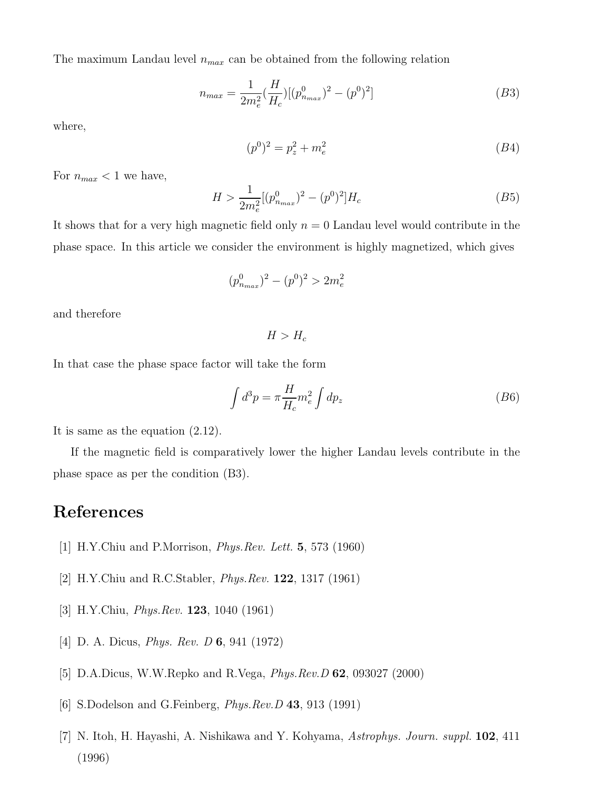The maximum Landau level  $n_{max}$  can be obtained from the following relation

$$
n_{max} = \frac{1}{2m_e^2} \left(\frac{H}{H_c}\right) \left[ (p_{n_{max}}^0)^2 - (p^0)^2 \right] \tag{B3}
$$

where,

$$
(p^0)^2 = p_z^2 + m_e^2 \tag{B4}
$$

For  $n_{max}$  < 1 we have,

$$
H > \frac{1}{2m_e^2} [(p_{n_{max}}^0)^2 - (p^0)^2] H_c
$$
 (B5)

It shows that for a very high magnetic field only  $n = 0$  Landau level would contribute in the phase space. In this article we consider the environment is highly magnetized, which gives

$$
(p_{n_{max}}^0)^2 - (p^0)^2 > 2m_e^2
$$

and therefore

 $H > H_c$ 

In that case the phase space factor will take the form

$$
\int d^3p = \pi \frac{H}{H_c} m_e^2 \int dp_z \tag{B6}
$$

It is same as the equation (2.12).

If the magnetic field is comparatively lower the higher Landau levels contribute in the phase space as per the condition (B3).

#### <span id="page-9-0"></span>References

- <span id="page-9-1"></span>[1] H.Y.Chiu and P.Morrison, Phys.Rev. Lett. 5, 573 (1960)
- <span id="page-9-2"></span>[2] H.Y.Chiu and R.C.Stabler, Phys.Rev. 122, 1317 (1961)
- <span id="page-9-3"></span>[3] H.Y.Chiu, Phys.Rev. 123, 1040 (1961)
- <span id="page-9-4"></span>[4] D. A. Dicus, Phys. Rev. D 6, 941 (1972)
- <span id="page-9-5"></span>[5] D.A.Dicus, W.W.Repko and R.Vega, Phys.Rev.D 62, 093027 (2000)
- <span id="page-9-6"></span>[6] S.Dodelson and G.Feinberg, *Phys.Rev.D* 43, 913 (1991)
- [7] N. Itoh, H. Hayashi, A. Nishikawa and Y. Kohyama, Astrophys. Journ. suppl. 102, 411 (1996)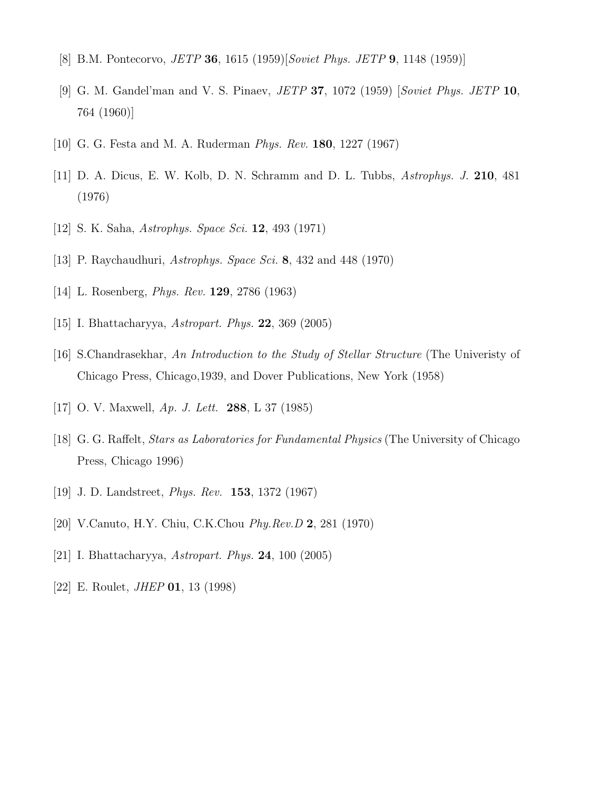- <span id="page-10-1"></span><span id="page-10-0"></span>[8] B.M. Pontecorvo, JETP 36, 1615 (1959)[Soviet Phys. JETP 9, 1148 (1959)]
- <span id="page-10-2"></span>[9] G. M. Gandel'man and V. S. Pinaev, JETP 37, 1072 (1959) [Soviet Phys. JETP 10, 764 (1960)]
- <span id="page-10-3"></span>[10] G. G. Festa and M. A. Ruderman Phys. Rev. 180, 1227 (1967)
- <span id="page-10-4"></span>[11] D. A. Dicus, E. W. Kolb, D. N. Schramm and D. L. Tubbs, Astrophys. J. 210, 481 (1976)
- <span id="page-10-5"></span>[12] S. K. Saha, Astrophys. Space Sci. 12, 493 (1971)
- <span id="page-10-6"></span>[13] P. Raychaudhuri, *Astrophys. Space Sci.* 8, 432 and 448 (1970)
- <span id="page-10-7"></span>[14] L. Rosenberg, Phys. Rev. 129, 2786 (1963)
- <span id="page-10-8"></span>[15] I. Bhattacharyya, Astropart. Phys. 22, 369 (2005)
- <span id="page-10-9"></span>[16] S.Chandrasekhar, An Introduction to the Study of Stellar Structure (The Univeristy of Chicago Press, Chicago,1939, and Dover Publications, New York (1958)
- <span id="page-10-10"></span>[17] O. V. Maxwell, Ap. J. Lett. 288, L 37 (1985)
- <span id="page-10-11"></span>[18] G. G. Raffelt, Stars as Laboratories for Fundamental Physics (The University of Chicago Press, Chicago 1996)
- <span id="page-10-12"></span>[19] J. D. Landstreet, Phys. Rev. 153, 1372 (1967)
- <span id="page-10-13"></span>[20] V.Canuto, H.Y. Chiu, C.K.Chou Phy.Rev.D 2, 281 (1970)
- <span id="page-10-14"></span>[21] I. Bhattacharyya, Astropart. Phys. 24, 100 (2005)
- [22] E. Roulet, *JHEP* **01**, 13 (1998)